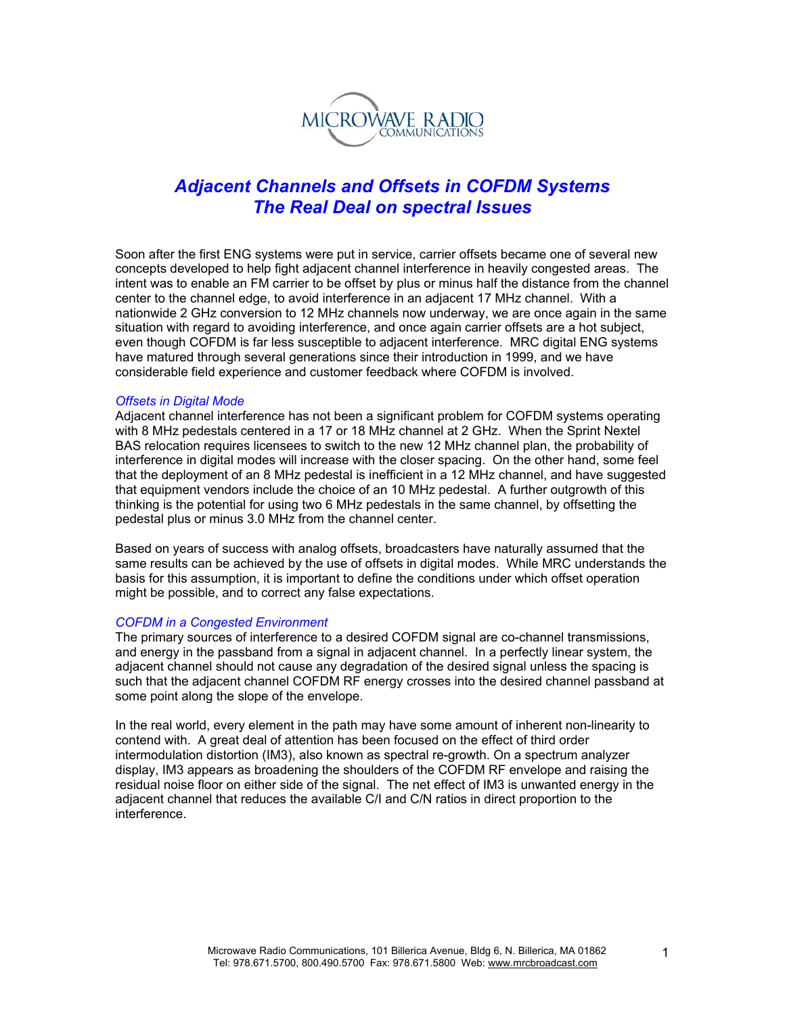

# *Adjacent Channels and Offsets in COFDM Systems The Real Deal on spectral Issues*

Soon after the first ENG systems were put in service, carrier offsets became one of several new concepts developed to help fight adjacent channel interference in heavily congested areas. The intent was to enable an FM carrier to be offset by plus or minus half the distance from the channel center to the channel edge, to avoid interference in an adjacent 17 MHz channel. With a nationwide 2 GHz conversion to 12 MHz channels now underway, we are once again in the same situation with regard to avoiding interference, and once again carrier offsets are a hot subject, even though COFDM is far less susceptible to adjacent interference. MRC digital ENG systems have matured through several generations since their introduction in 1999, and we have considerable field experience and customer feedback where COFDM is involved.

#### *Offsets in Digital Mode*

Adjacent channel interference has not been a significant problem for COFDM systems operating with 8 MHz pedestals centered in a 17 or 18 MHz channel at 2 GHz. When the Sprint Nextel BAS relocation requires licensees to switch to the new 12 MHz channel plan, the probability of interference in digital modes will increase with the closer spacing. On the other hand, some feel that the deployment of an 8 MHz pedestal is inefficient in a 12 MHz channel, and have suggested that equipment vendors include the choice of an 10 MHz pedestal. A further outgrowth of this thinking is the potential for using two 6 MHz pedestals in the same channel, by offsetting the pedestal plus or minus 3.0 MHz from the channel center.

Based on years of success with analog offsets, broadcasters have naturally assumed that the same results can be achieved by the use of offsets in digital modes. While MRC understands the basis for this assumption, it is important to define the conditions under which offset operation might be possible, and to correct any false expectations.

#### *COFDM in a Congested Environment*

The primary sources of interference to a desired COFDM signal are co-channel transmissions, and energy in the passband from a signal in adjacent channel. In a perfectly linear system, the adjacent channel should not cause any degradation of the desired signal unless the spacing is such that the adjacent channel COFDM RF energy crosses into the desired channel passband at some point along the slope of the envelope.

In the real world, every element in the path may have some amount of inherent non-linearity to contend with. A great deal of attention has been focused on the effect of third order intermodulation distortion (IM3), also known as spectral re-growth. On a spectrum analyzer display, IM3 appears as broadening the shoulders of the COFDM RF envelope and raising the residual noise floor on either side of the signal. The net effect of IM3 is unwanted energy in the adjacent channel that reduces the available C/I and C/N ratios in direct proportion to the interference.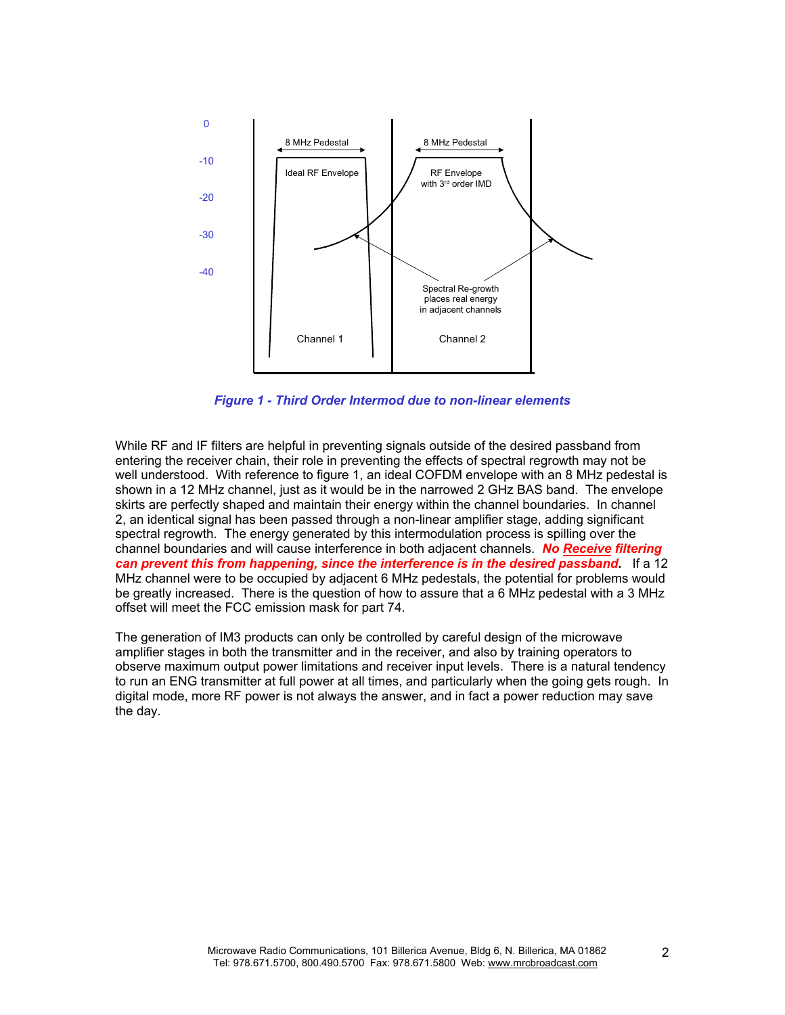

*Figure 1 - Third Order Intermod due to non-linear elements*

While RF and IF filters are helpful in preventing signals outside of the desired passband from entering the receiver chain, their role in preventing the effects of spectral regrowth may not be well understood. With reference to figure 1, an ideal COFDM envelope with an 8 MHz pedestal is shown in a 12 MHz channel, just as it would be in the narrowed 2 GHz BAS band. The envelope skirts are perfectly shaped and maintain their energy within the channel boundaries. In channel 2, an identical signal has been passed through a non-linear amplifier stage, adding significant spectral regrowth. The energy generated by this intermodulation process is spilling over the channel boundaries and will cause interference in both adjacent channels. *No Receive filtering can prevent this from happening, since the interference is in the desired passband.* If a 12 MHz channel were to be occupied by adjacent 6 MHz pedestals, the potential for problems would be greatly increased. There is the question of how to assure that a 6 MHz pedestal with a 3 MHz offset will meet the FCC emission mask for part 74.

The generation of IM3 products can only be controlled by careful design of the microwave amplifier stages in both the transmitter and in the receiver, and also by training operators to observe maximum output power limitations and receiver input levels. There is a natural tendency to run an ENG transmitter at full power at all times, and particularly when the going gets rough. In digital mode, more RF power is not always the answer, and in fact a power reduction may save the day.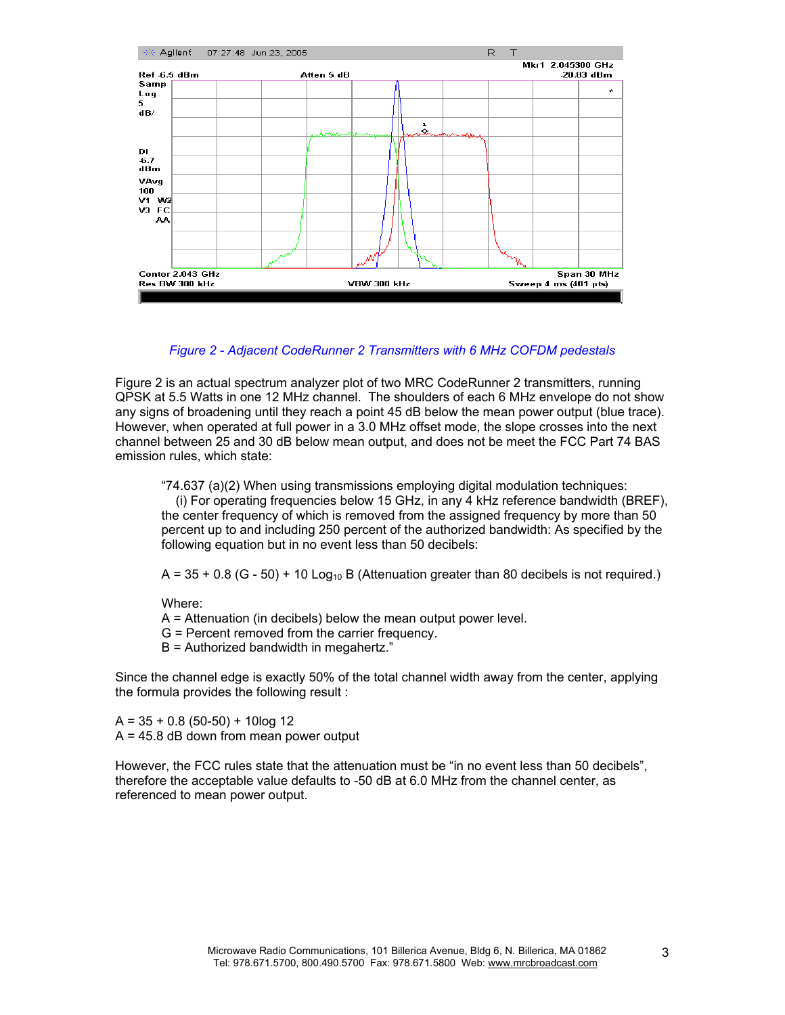

# *Figure 2 - Adjacent CodeRunner 2 Transmitters with 6 MHz COFDM pedestals*

Figure 2 is an actual spectrum analyzer plot of two MRC CodeRunner 2 transmitters, running QPSK at 5.5 Watts in one 12 MHz channel. The shoulders of each 6 MHz envelope do not show any signs of broadening until they reach a point 45 dB below the mean power output (blue trace). However, when operated at full power in a 3.0 MHz offset mode, the slope crosses into the next channel between 25 and 30 dB below mean output, and does not be meet the FCC Part 74 BAS emission rules, which state:

"74.637 (a)(2) When using transmissions employing digital modulation techniques: (i) For operating frequencies below 15 GHz, in any 4 kHz reference bandwidth (BREF), the center frequency of which is removed from the assigned frequency by more than 50 percent up to and including 250 percent of the authorized bandwidth: As specified by the following equation but in no event less than 50 decibels:

 $A = 35 + 0.8$  (G - 50) + 10 Log<sub>10</sub> B (Attenuation greater than 80 decibels is not required.)

Where:

- A = Attenuation (in decibels) below the mean output power level.
- G = Percent removed from the carrier frequency.
- B = Authorized bandwidth in megahertz."

Since the channel edge is exactly 50% of the total channel width away from the center, applying the formula provides the following result :

 $A = 35 + 0.8$  (50-50) + 10log 12  $A = 45.8$  dB down from mean power output

However, the FCC rules state that the attenuation must be "in no event less than 50 decibels", therefore the acceptable value defaults to -50 dB at 6.0 MHz from the channel center, as referenced to mean power output.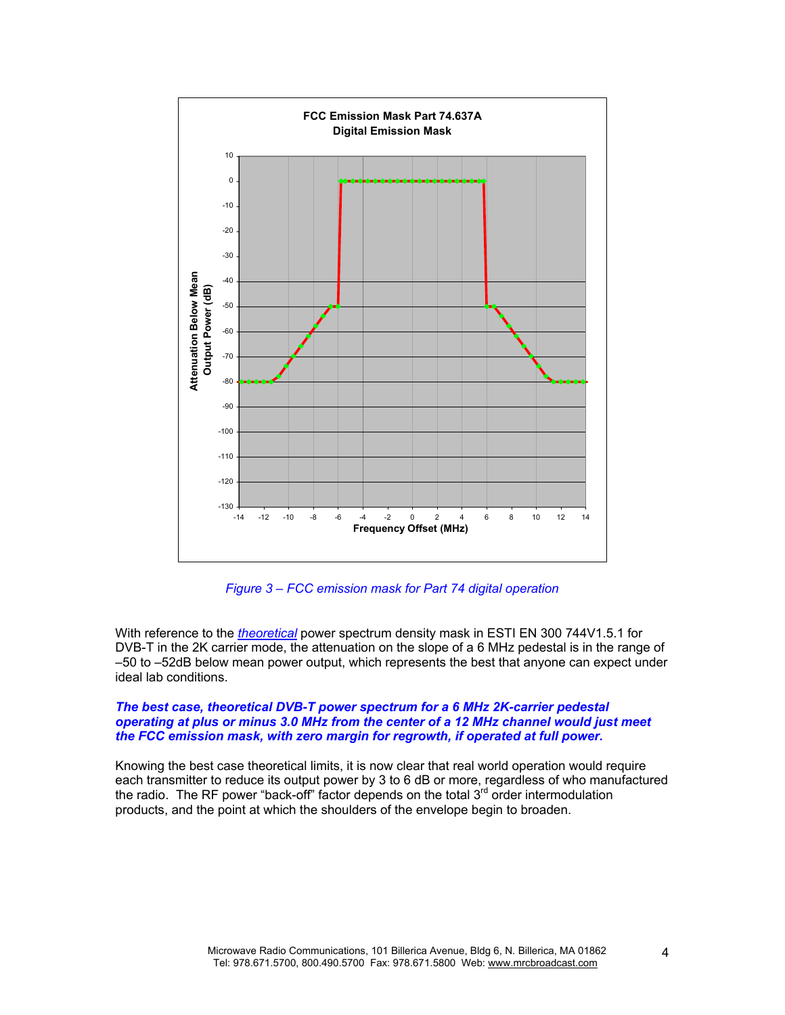

*Figure 3 – FCC emission mask for Part 74 digital operation* 

With reference to the *theoretical* power spectrum density mask in ESTI EN 300 744V1.5.1 for DVB-T in the 2K carrier mode, the attenuation on the slope of a 6 MHz pedestal is in the range of –50 to –52dB below mean power output, which represents the best that anyone can expect under ideal lab conditions.

#### *The best case, theoretical DVB-T power spectrum for a 6 MHz 2K-carrier pedestal operating at plus or minus 3.0 MHz from the center of a 12 MHz channel would just meet the FCC emission mask, with zero margin for regrowth, if operated at full power.*

Knowing the best case theoretical limits, it is now clear that real world operation would require each transmitter to reduce its output power by 3 to 6 dB or more, regardless of who manufactured the radio. The RF power "back-off" factor depends on the total  $3<sup>rd</sup>$  order intermodulation products, and the point at which the shoulders of the envelope begin to broaden.